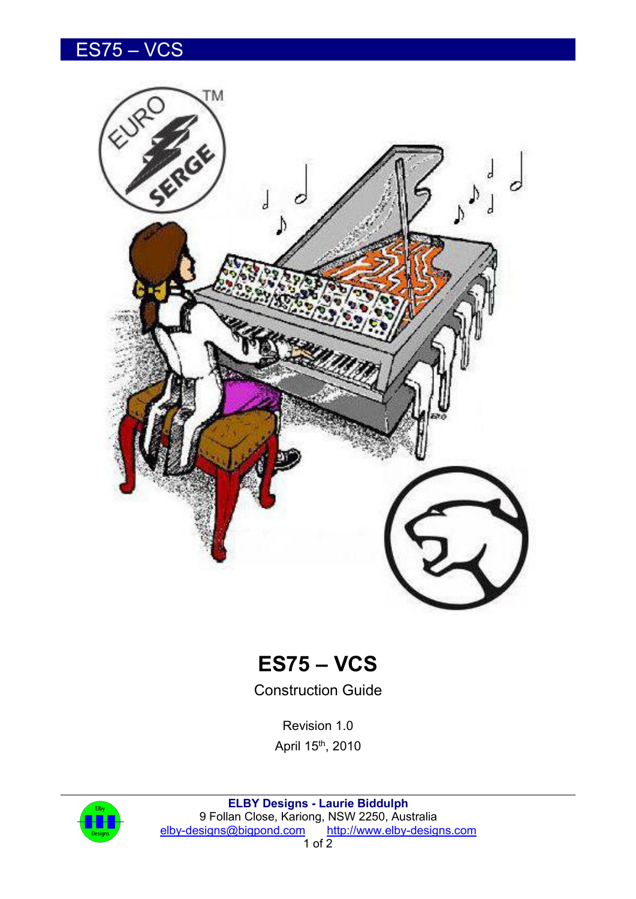## ES75 – VCS





Construction Guide

Revision 1.0 April 15<sup>th</sup>, 2010



**ELBY Designs - Laurie Biddulph** 9 Follan Close, Kariong, NSW 2250, Australia [elby-designs@bigpond.com](mailto:elby-designs@bigpond.com) <http://www.elby-designs.com>